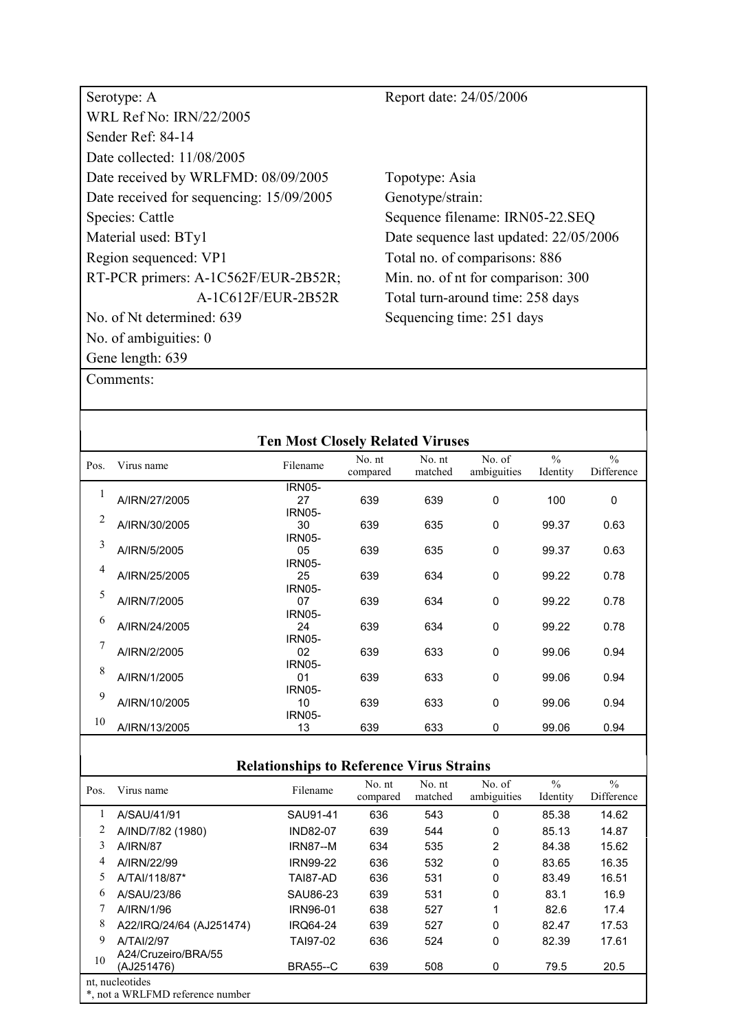| Serotype: A                              | Report date: 24/05/2006                |
|------------------------------------------|----------------------------------------|
| <b>WRL Ref No: IRN/22/2005</b>           |                                        |
| Sender Ref: 84-14                        |                                        |
| Date collected: 11/08/2005               |                                        |
| Date received by WRLFMD: 08/09/2005      | Topotype: Asia                         |
| Date received for sequencing: 15/09/2005 | Genotype/strain:                       |
| Species: Cattle                          | Sequence filename: IRN05-22.SEQ        |
| Material used: BTy1                      | Date sequence last updated: 22/05/2006 |
| Region sequenced: VP1                    | Total no. of comparisons: 886          |
| RT-PCR primers: A-1C562F/EUR-2B52R;      | Min. no. of nt for comparison: 300     |
| A-1C612F/EUR-2B52R                       | Total turn-around time: 258 days       |
| No. of Nt determined: 639                | Sequencing time: 251 days              |
| No. of ambiguities: $0$                  |                                        |
| Gene length: 639                         |                                        |

| <b>Ten Most Closely Related Viruses</b> |               |               |                    |                   |                       |                           |                             |  |  |  |
|-----------------------------------------|---------------|---------------|--------------------|-------------------|-----------------------|---------------------------|-----------------------------|--|--|--|
| Pos.                                    | Virus name    | Filename      | No. nt<br>compared | No. nt<br>matched | No. of<br>ambiguities | $\frac{0}{0}$<br>Identity | $\frac{0}{0}$<br>Difference |  |  |  |
|                                         |               | <b>IRN05-</b> |                    |                   |                       |                           |                             |  |  |  |
| 1                                       | A/IRN/27/2005 | 27            | 639                | 639               | $\mathbf 0$           | 100                       | $\mathbf 0$                 |  |  |  |
| 2                                       |               | <b>IRN05-</b> |                    |                   |                       |                           |                             |  |  |  |
|                                         | A/IRN/30/2005 | 30            | 639                | 635               | 0                     | 99.37                     | 0.63                        |  |  |  |
| 3                                       |               | <b>IRN05-</b> |                    |                   |                       |                           |                             |  |  |  |
|                                         | A/IRN/5/2005  | 05            | 639                | 635               | 0                     | 99.37                     | 0.63                        |  |  |  |
| 4                                       |               | <b>IRN05-</b> |                    |                   |                       |                           |                             |  |  |  |
|                                         | A/IRN/25/2005 | 25            | 639                | 634               | 0                     | 99.22                     | 0.78                        |  |  |  |
| 5                                       |               | <b>IRN05-</b> |                    |                   |                       |                           |                             |  |  |  |
|                                         | A/IRN/7/2005  | 07            | 639                | 634               | 0                     | 99.22                     | 0.78                        |  |  |  |
| 6                                       |               | <b>IRN05-</b> |                    |                   |                       |                           |                             |  |  |  |
|                                         | A/IRN/24/2005 | 24            | 639                | 634               | 0                     | 99.22                     | 0.78                        |  |  |  |
| 7                                       |               | <b>IRN05-</b> |                    |                   |                       |                           |                             |  |  |  |
|                                         | A/IRN/2/2005  | 02            | 639                | 633               | 0                     | 99.06                     | 0.94                        |  |  |  |
| 8                                       |               | <b>IRN05-</b> |                    |                   |                       |                           |                             |  |  |  |
|                                         | A/IRN/1/2005  | 01            | 639                | 633               | 0                     | 99.06                     | 0.94                        |  |  |  |
| 9                                       |               | <b>IRN05-</b> |                    |                   |                       |                           |                             |  |  |  |
|                                         | A/IRN/10/2005 | 10            | 639                | 633               | 0                     | 99.06                     | 0.94                        |  |  |  |
| 10                                      |               | <b>IRN05-</b> |                    |                   |                       |                           |                             |  |  |  |
|                                         | A/IRN/13/2005 | 13            | 639                | 633               | 0                     | 99.06                     | 0.94                        |  |  |  |
|                                         |               |               |                    |                   |                       |                           |                             |  |  |  |

| Pos. | Virus name                                          | Filename        | No. nt<br>compared | No. nt<br>matched | No. of<br>ambiguities | $\frac{0}{0}$<br>Identity | $\frac{0}{0}$<br>Difference |
|------|-----------------------------------------------------|-----------------|--------------------|-------------------|-----------------------|---------------------------|-----------------------------|
|      | A/SAU/41/91                                         | SAU91-41        | 636                | 543               | $\Omega$              | 85.38                     | 14.62                       |
| 2    | A/IND/7/82 (1980)                                   | <b>IND82-07</b> | 639                | 544               | $\mathbf 0$           | 85.13                     | 14.87                       |
| 3    | <b>A/IRN/87</b>                                     | <b>IRN87--M</b> | 634                | 535               | $\overline{2}$        | 84.38                     | 15.62                       |
| 4    | A/IRN/22/99                                         | <b>IRN99-22</b> | 636                | 532               | 0                     | 83.65                     | 16.35                       |
| 5    | A/TAI/118/87*                                       | TAI87-AD        | 636                | 531               | 0                     | 83.49                     | 16.51                       |
| 6    | A/SAU/23/86                                         | SAU86-23        | 639                | 531               | 0                     | 83.1                      | 16.9                        |
|      | A/IRN/1/96                                          | <b>IRN96-01</b> | 638                | 527               |                       | 82.6                      | 17.4                        |
| 8    | A22/IRQ/24/64 (AJ251474)                            | <b>IRO64-24</b> | 639                | 527               | $\mathbf 0$           | 82.47                     | 17.53                       |
| 9    | A/TAI/2/97                                          | TAI97-02        | 636                | 524               | 0                     | 82.39                     | 17.61                       |
| 10   | A24/Cruzeiro/BRA/55<br>(AJ251476)                   | <b>BRA55--C</b> | 639                | 508               | 0                     | 79.5                      | 20.5                        |
|      | nt, nucleotides<br>*, not a WRLFMD reference number |                 |                    |                   |                       |                           |                             |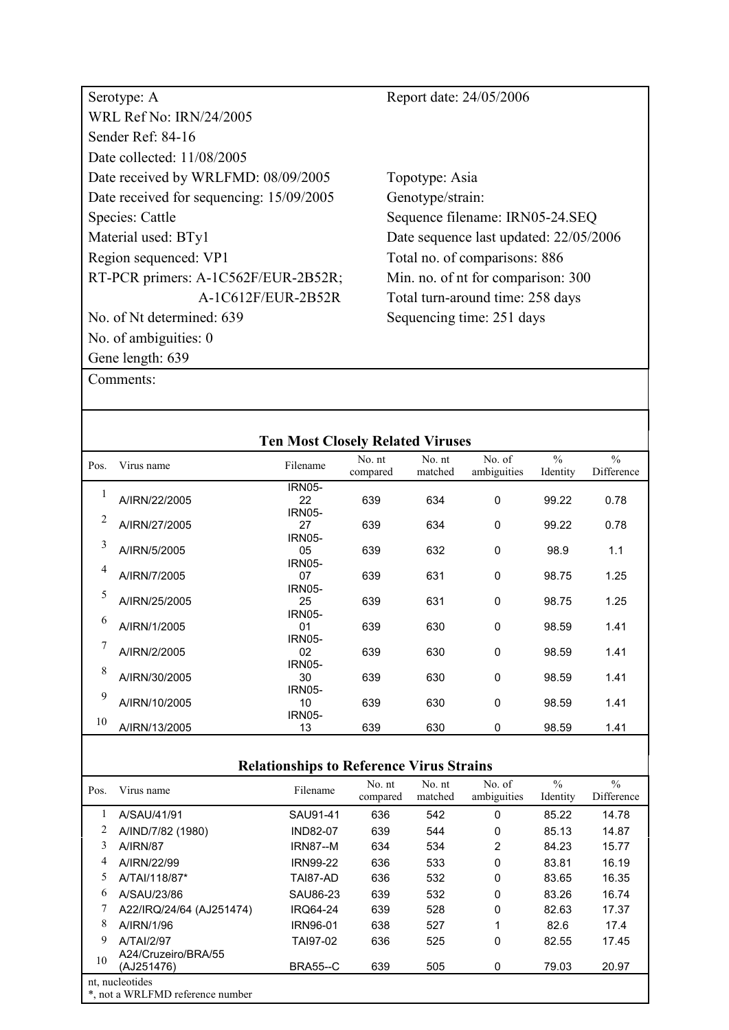| Serotype: A                              | Report date: 24/05/2006                |
|------------------------------------------|----------------------------------------|
| <b>WRL Ref No: IRN/24/2005</b>           |                                        |
| Sender Ref: 84-16                        |                                        |
| Date collected: 11/08/2005               |                                        |
| Date received by WRLFMD: 08/09/2005      | Topotype: Asia                         |
| Date received for sequencing: 15/09/2005 | Genotype/strain:                       |
| Species: Cattle                          | Sequence filename: IRN05-24.SEQ        |
| Material used: BTy1                      | Date sequence last updated: 22/05/2006 |
| Region sequenced: VP1                    | Total no. of comparisons: 886          |
| RT-PCR primers: A-1C562F/EUR-2B52R;      | Min. no. of nt for comparison: 300     |
| A-1C612F/EUR-2B52R                       | Total turn-around time: 258 days       |
| No. of Nt determined: 639                | Sequencing time: 251 days              |
| No. of ambiguities: $0$                  |                                        |
| Gene length: 639                         |                                        |

| <b>Ten Most Closely Related Viruses</b> |               |               |                    |                   |                       |                           |                             |  |  |  |
|-----------------------------------------|---------------|---------------|--------------------|-------------------|-----------------------|---------------------------|-----------------------------|--|--|--|
| Pos.                                    | Virus name    | Filename      | No. nt<br>compared | No. nt<br>matched | No. of<br>ambiguities | $\frac{0}{0}$<br>Identity | $\frac{0}{0}$<br>Difference |  |  |  |
|                                         |               | <b>IRN05-</b> |                    |                   |                       |                           |                             |  |  |  |
| 1                                       | A/IRN/22/2005 | 22            | 639                | 634               | $\mathbf 0$           | 99.22                     | 0.78                        |  |  |  |
| 2                                       |               | <b>IRN05-</b> |                    |                   |                       |                           |                             |  |  |  |
|                                         | A/IRN/27/2005 | 27            | 639                | 634               | $\mathbf 0$           | 99.22                     | 0.78                        |  |  |  |
| 3                                       |               | <b>IRN05-</b> |                    |                   |                       |                           |                             |  |  |  |
|                                         | A/IRN/5/2005  | 05            | 639                | 632               | 0                     | 98.9                      | 1.1                         |  |  |  |
| 4                                       |               | <b>IRN05-</b> |                    |                   |                       |                           |                             |  |  |  |
|                                         | A/IRN/7/2005  | 07            | 639                | 631               | 0                     | 98.75                     | 1.25                        |  |  |  |
| 5                                       |               | <b>IRN05-</b> |                    |                   |                       |                           |                             |  |  |  |
|                                         | A/IRN/25/2005 | 25            | 639                | 631               | 0                     | 98.75                     | 1.25                        |  |  |  |
| 6                                       |               | <b>IRN05-</b> |                    |                   |                       |                           |                             |  |  |  |
|                                         | A/IRN/1/2005  | 01            | 639                | 630               | $\mathbf 0$           | 98.59                     | 1.41                        |  |  |  |
| 7                                       |               | <b>IRN05-</b> |                    |                   |                       |                           |                             |  |  |  |
|                                         | A/IRN/2/2005  | 02            | 639                | 630               | $\mathbf 0$           | 98.59                     | 1.41                        |  |  |  |
| 8                                       |               | <b>IRN05-</b> |                    |                   |                       |                           |                             |  |  |  |
|                                         | A/IRN/30/2005 | 30            | 639                | 630               | 0                     | 98.59                     | 1.41                        |  |  |  |
| 9                                       |               | <b>IRN05-</b> |                    |                   |                       |                           |                             |  |  |  |
|                                         | A/IRN/10/2005 | 10            | 639                | 630               | 0                     | 98.59                     | 1.41                        |  |  |  |
| 10                                      |               | <b>IRN05-</b> |                    |                   |                       |                           |                             |  |  |  |
|                                         | A/IRN/13/2005 | 13            | 639                | 630               | 0                     | 98.59                     | 1.41                        |  |  |  |
|                                         |               |               |                    |                   |                       |                           |                             |  |  |  |

| Pos. | Virus name                                          | Filename        | No. nt<br>compared | No. nt<br>matched | No. of<br>ambiguities | $\frac{0}{0}$<br>Identity | $\frac{0}{0}$<br>Difference |
|------|-----------------------------------------------------|-----------------|--------------------|-------------------|-----------------------|---------------------------|-----------------------------|
|      | A/SAU/41/91                                         | SAU91-41        | 636                | 542               | $\Omega$              | 85.22                     | 14.78                       |
|      | A/IND/7/82 (1980)                                   | <b>IND82-07</b> | 639                | 544               | 0                     | 85.13                     | 14.87                       |
| 3    | <b>A/IRN/87</b>                                     | <b>IRN87--M</b> | 634                | 534               | 2                     | 84.23                     | 15.77                       |
| 4    | A/IRN/22/99                                         | <b>IRN99-22</b> | 636                | 533               | 0                     | 83.81                     | 16.19                       |
| 5    | A/TAI/118/87*                                       | TAI87-AD        | 636                | 532               | 0                     | 83.65                     | 16.35                       |
| 6    | A/SAU/23/86                                         | SAU86-23        | 639                | 532               | 0                     | 83.26                     | 16.74                       |
|      | A22/IRQ/24/64 (AJ251474)                            | <b>IRQ64-24</b> | 639                | 528               | 0                     | 82.63                     | 17.37                       |
| 8    | A/IRN/1/96                                          | <b>IRN96-01</b> | 638                | 527               | 1                     | 82.6                      | 17.4                        |
| 9    | A/TAI/2/97                                          | TAI97-02        | 636                | 525               | 0                     | 82.55                     | 17.45                       |
| 10   | A24/Cruzeiro/BRA/55<br>(AJ251476)                   | <b>BRA55--C</b> | 639                | 505               | 0                     | 79.03                     | 20.97                       |
|      | nt, nucleotides<br>*, not a WRLFMD reference number |                 |                    |                   |                       |                           |                             |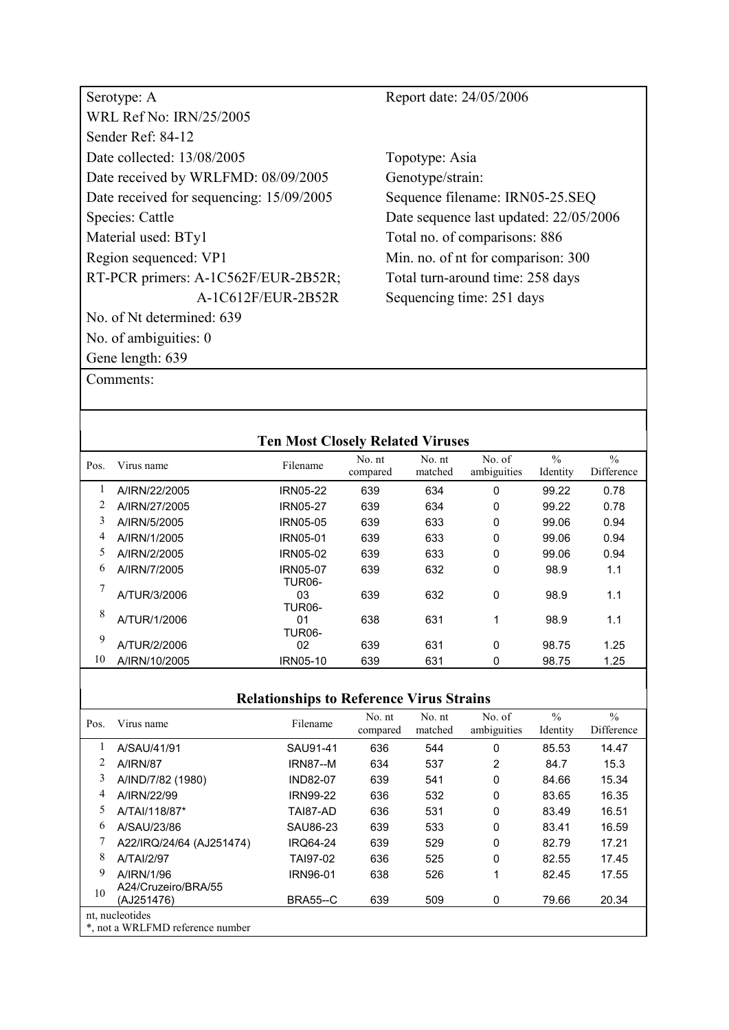| Serotype: A                              | Report date: 24/05/2006                |
|------------------------------------------|----------------------------------------|
| WRL Ref No: IRN/25/2005                  |                                        |
| Sender Ref: 84-12                        |                                        |
| Date collected: 13/08/2005               | Topotype: Asia                         |
| Date received by WRLFMD: 08/09/2005      | Genotype/strain:                       |
| Date received for sequencing: 15/09/2005 | Sequence filename: IRN05-25.SEQ        |
| Species: Cattle                          | Date sequence last updated: 22/05/2006 |
| Material used: BTy1                      | Total no. of comparisons: 886          |
| Region sequenced: VP1                    | Min. no. of nt for comparison: 300     |
| RT-PCR primers: A-1C562F/EUR-2B52R;      | Total turn-around time: 258 days       |
| A-1C612F/EUR-2B52R                       | Sequencing time: 251 days              |
| No. of Nt determined: 639                |                                        |
| No. of ambiguities: 0                    |                                        |
| Gene length: 639                         |                                        |

|      |               | <b>Ten Most Closely Related Viruses</b> |                    |                   |                       |                           |                             |
|------|---------------|-----------------------------------------|--------------------|-------------------|-----------------------|---------------------------|-----------------------------|
| Pos. | Virus name    | Filename                                | No. nt<br>compared | No. nt<br>matched | No. of<br>ambiguities | $\frac{0}{0}$<br>Identity | $\frac{0}{0}$<br>Difference |
|      | A/IRN/22/2005 | <b>IRN05-22</b>                         | 639                | 634               | 0                     | 99.22                     | 0.78                        |
|      | A/IRN/27/2005 | <b>IRN05-27</b>                         | 639                | 634               | 0                     | 99.22                     | 0.78                        |
| 3    | A/IRN/5/2005  | IRN05-05                                | 639                | 633               | 0                     | 99.06                     | 0.94                        |
| 4    | A/IRN/1/2005  | <b>IRN05-01</b>                         | 639                | 633               | 0                     | 99.06                     | 0.94                        |
| 5    | A/IRN/2/2005  | IRN05-02                                | 639                | 633               | 0                     | 99.06                     | 0.94                        |
| 6    | A/IRN/7/2005  | <b>IRN05-07</b><br><b>TUR06-</b>        | 639                | 632               | 0                     | 98.9                      | 1.1                         |
|      | A/TUR/3/2006  | 03<br><b>TUR06-</b>                     | 639                | 632               | 0                     | 98.9                      | 1.1                         |
| 8    | A/TUR/1/2006  | 01<br><b>TUR06-</b>                     | 638                | 631               | 1                     | 98.9                      | 1.1                         |
| 9    | A/TUR/2/2006  | 02                                      | 639                | 631               | 0                     | 98.75                     | 1.25                        |
| 10   | A/IRN/10/2005 | IRN05-10                                | 639                | 631               | 0                     | 98.75                     | 1.25                        |

| Pos. | Virus name                        | Filename        | No. nt<br>compared | No. nt<br>matched | No. of<br>ambiguities | $\frac{0}{0}$<br>Identity | $\frac{0}{0}$<br>Difference |
|------|-----------------------------------|-----------------|--------------------|-------------------|-----------------------|---------------------------|-----------------------------|
|      | A/SAU/41/91                       | SAU91-41        | 636                | 544               | 0                     | 85.53                     | 14.47                       |
|      | <b>A/IRN/87</b>                   | <b>IRN87--M</b> | 634                | 537               | 2                     | 84.7                      | 15.3                        |
| 3    | A/IND/7/82 (1980)                 | <b>IND82-07</b> | 639                | 541               | 0                     | 84.66                     | 15.34                       |
| 4    | A/IRN/22/99                       | <b>IRN99-22</b> | 636                | 532               | 0                     | 83.65                     | 16.35                       |
| 5.   | A/TAI/118/87*                     | TAI87-AD        | 636                | 531               | 0                     | 83.49                     | 16.51                       |
| 6    | A/SAU/23/86                       | SAU86-23        | 639                | 533               | 0                     | 83.41                     | 16.59                       |
|      | A22/IRQ/24/64 (AJ251474)          | <b>IRO64-24</b> | 639                | 529               | 0                     | 82.79                     | 17.21                       |
| 8    | A/TAI/2/97                        | TAI97-02        | 636                | 525               | 0                     | 82.55                     | 17.45                       |
| 9    | A/IRN/1/96                        | IRN96-01        | 638                | 526               | 1                     | 82.45                     | 17.55                       |
| 10   | A24/Cruzeiro/BRA/55<br>(AJ251476) | <b>BRA55--C</b> | 639                | 509               | 0                     | 79.66                     | 20.34                       |
|      | nt, nucleotides                   |                 |                    |                   |                       |                           |                             |
|      | *, not a WRLFMD reference number  |                 |                    |                   |                       |                           |                             |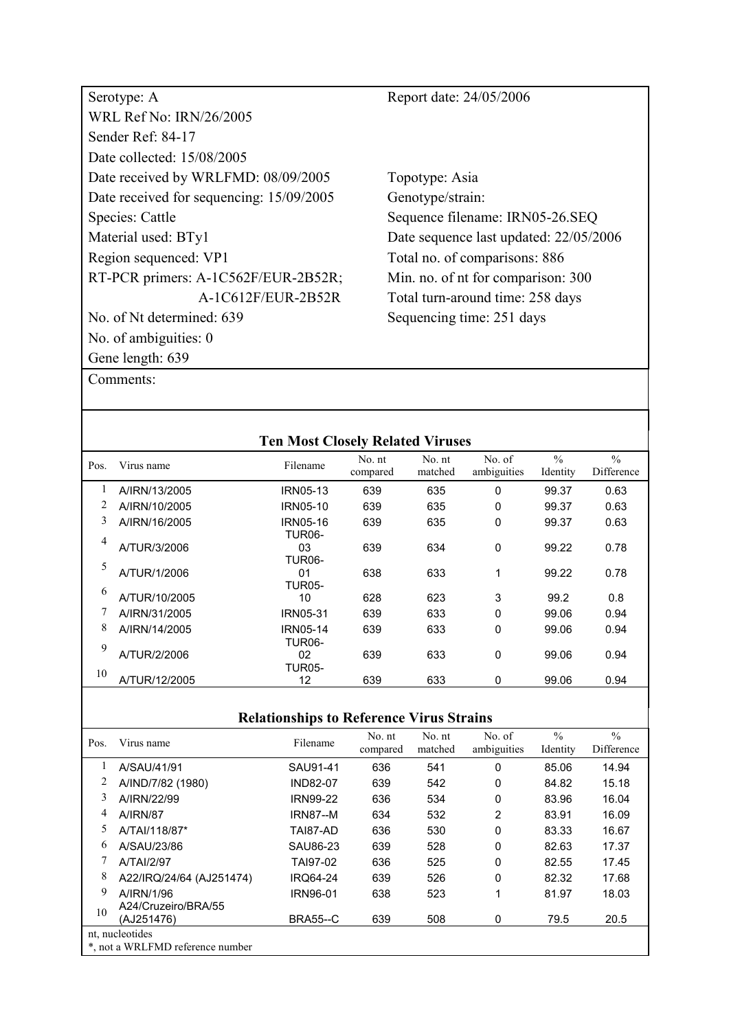| Serotype: A                              | Report date: 24/05/2006                |
|------------------------------------------|----------------------------------------|
| <b>WRL Ref No: IRN/26/2005</b>           |                                        |
| Sender Ref: 84-17                        |                                        |
| Date collected: 15/08/2005               |                                        |
| Date received by WRLFMD: 08/09/2005      | Topotype: Asia                         |
| Date received for sequencing: 15/09/2005 | Genotype/strain:                       |
| Species: Cattle                          | Sequence filename: IRN05-26.SEQ        |
| Material used: BTy1                      | Date sequence last updated: 22/05/2006 |
| Region sequenced: VP1                    | Total no. of comparisons: 886          |
| RT-PCR primers: A-1C562F/EUR-2B52R;      | Min. no. of nt for comparison: 300     |
| A-1C612F/EUR-2B52R                       | Total turn-around time: 258 days       |
| No. of Nt determined: 639                | Sequencing time: 251 days              |
| No. of ambiguities: 0                    |                                        |
| Gene length: 639                         |                                        |

|      |               | <b>Ten Most Closely Related Viruses</b> |                    |                   |                       |                           |                             |
|------|---------------|-----------------------------------------|--------------------|-------------------|-----------------------|---------------------------|-----------------------------|
| Pos. | Virus name    | Filename                                | No. nt<br>compared | No. nt<br>matched | No. of<br>ambiguities | $\frac{0}{0}$<br>Identity | $\frac{0}{0}$<br>Difference |
| 1    | A/IRN/13/2005 | <b>IRN05-13</b>                         | 639                | 635               | 0                     | 99.37                     | 0.63                        |
|      | A/IRN/10/2005 | IRN05-10                                | 639                | 635               | 0                     | 99.37                     | 0.63                        |
| 3    | A/IRN/16/2005 | IRN05-16<br><b>TUR06-</b>               | 639                | 635               | 0                     | 99.37                     | 0.63                        |
| 4    | A/TUR/3/2006  | 03<br><b>TUR06-</b>                     | 639                | 634               | 0                     | 99.22                     | 0.78                        |
| 5    | A/TUR/1/2006  | 01<br><b>TUR05-</b>                     | 638                | 633               | 1                     | 99.22                     | 0.78                        |
| 6    | A/TUR/10/2005 | 10                                      | 628                | 623               | 3                     | 99.2                      | 0.8                         |
|      | A/IRN/31/2005 | <b>IRN05-31</b>                         | 639                | 633               | 0                     | 99.06                     | 0.94                        |
| 8    | A/IRN/14/2005 | <b>IRN05-14</b><br>TUR <sub>06</sub>    | 639                | 633               | $\Omega$              | 99.06                     | 0.94                        |
| 9    | A/TUR/2/2006  | 02<br><b>TUR05-</b>                     | 639                | 633               | 0                     | 99.06                     | 0.94                        |
| 10   | A/TUR/12/2005 | 12                                      | 639                | 633               | 0                     | 99.06                     | 0.94                        |

| Pos. | Virus name                       | Filename        | No. nt<br>compared | No. nt<br>matched | No. of<br>ambiguities | $\frac{0}{0}$<br>Identity | $\frac{0}{0}$<br>Difference |
|------|----------------------------------|-----------------|--------------------|-------------------|-----------------------|---------------------------|-----------------------------|
|      | A/SAU/41/91                      | SAU91-41        | 636                | 541               | $\Omega$              | 85.06                     | 14.94                       |
| 2    | A/IND/7/82 (1980)                | <b>IND82-07</b> | 639                | 542               | $\Omega$              | 84.82                     | 15.18                       |
| 3    | A/IRN/22/99                      | <b>IRN99-22</b> | 636                | 534               | $\Omega$              | 83.96                     | 16.04                       |
| 4    | <b>A/IRN/87</b>                  | <b>IRN87--M</b> | 634                | 532               | 2                     | 83.91                     | 16.09                       |
| 5    | A/TAI/118/87*                    | TAI87-AD        | 636                | 530               | 0                     | 83.33                     | 16.67                       |
| 6    | A/SAU/23/86                      | SAU86-23        | 639                | 528               | $\Omega$              | 82.63                     | 17.37                       |
|      | A/TAI/2/97                       | TAI97-02        | 636                | 525               | $\Omega$              | 82.55                     | 17.45                       |
| 8    | A22/IRQ/24/64 (AJ251474)         | <b>IRQ64-24</b> | 639                | 526               | $\Omega$              | 82.32                     | 17.68                       |
| 9    | A/IRN/1/96                       | <b>IRN96-01</b> | 638                | 523               | 1                     | 81.97                     | 18.03                       |
| 10   | A24/Cruzeiro/BRA/55              |                 |                    |                   |                       |                           |                             |
|      | (AJ251476)                       | <b>BRA55--C</b> | 639                | 508               | 0                     | 79.5                      | 20.5                        |
|      | nt, nucleotides                  |                 |                    |                   |                       |                           |                             |
|      | *, not a WRLFMD reference number |                 |                    |                   |                       |                           |                             |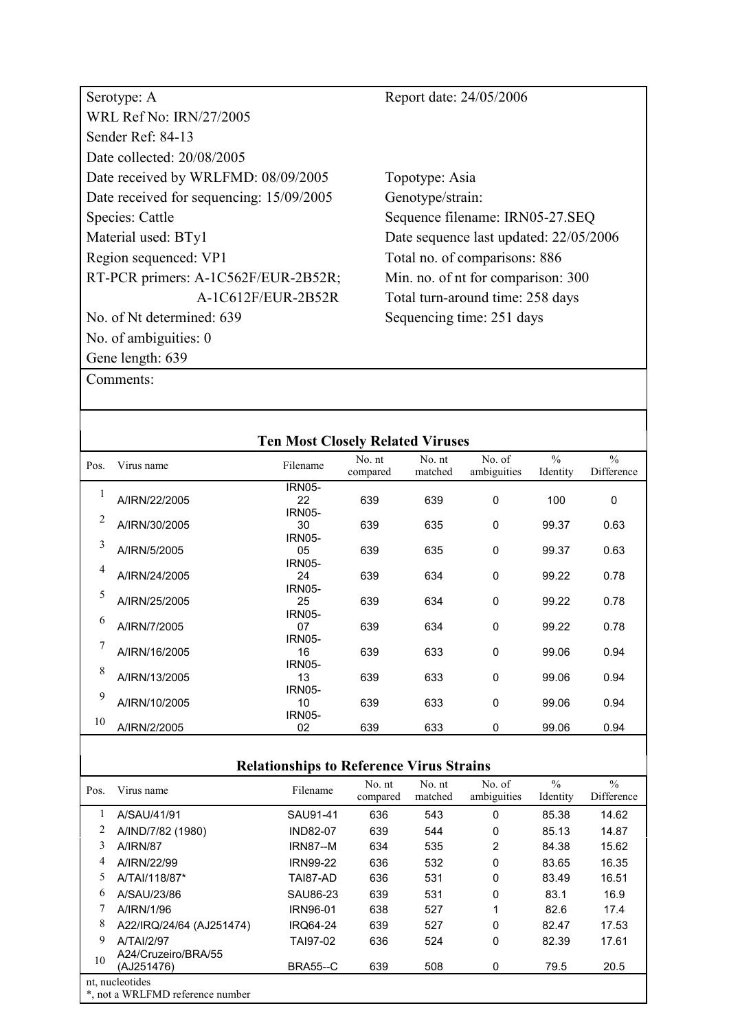| Serotype: A                              | Report date: 24/05/2006                |
|------------------------------------------|----------------------------------------|
| <b>WRL Ref No: IRN/27/2005</b>           |                                        |
| Sender Ref: 84-13                        |                                        |
| Date collected: 20/08/2005               |                                        |
| Date received by WRLFMD: 08/09/2005      | Topotype: Asia                         |
| Date received for sequencing: 15/09/2005 | Genotype/strain:                       |
| Species: Cattle                          | Sequence filename: IRN05-27.SEQ        |
| Material used: BTy1                      | Date sequence last updated: 22/05/2006 |
| Region sequenced: VP1                    | Total no. of comparisons: 886          |
| RT-PCR primers: A-1C562F/EUR-2B52R;      | Min. no. of nt for comparison: 300     |
| A-1C612F/EUR-2B52R                       | Total turn-around time: 258 days       |
| No. of Nt determined: 639                | Sequencing time: 251 days              |
| No. of ambiguities: $0$                  |                                        |
| Gene length: 639                         |                                        |

| <b>Ten Most Closely Related Viruses</b> |               |               |                    |                   |                       |                           |                             |  |  |  |
|-----------------------------------------|---------------|---------------|--------------------|-------------------|-----------------------|---------------------------|-----------------------------|--|--|--|
| Pos.                                    | Virus name    | Filename      | No. nt<br>compared | No. nt<br>matched | No. of<br>ambiguities | $\frac{0}{0}$<br>Identity | $\frac{0}{0}$<br>Difference |  |  |  |
|                                         |               | <b>IRN05-</b> |                    |                   |                       |                           |                             |  |  |  |
|                                         | A/IRN/22/2005 | 22            | 639                | 639               | $\Omega$              | 100                       | 0                           |  |  |  |
| 2                                       |               | <b>IRN05-</b> |                    |                   |                       |                           |                             |  |  |  |
|                                         | A/IRN/30/2005 | 30            | 639                | 635               | $\mathbf 0$           | 99.37                     | 0.63                        |  |  |  |
| 3                                       |               | <b>IRN05-</b> |                    |                   |                       |                           |                             |  |  |  |
|                                         | A/IRN/5/2005  | 05            | 639                | 635               | $\mathbf 0$           | 99.37                     | 0.63                        |  |  |  |
| 4                                       |               | <b>IRN05-</b> |                    |                   |                       |                           |                             |  |  |  |
|                                         | A/IRN/24/2005 | 24            | 639                | 634               | 0                     | 99.22                     | 0.78                        |  |  |  |
| 5                                       |               | <b>IRN05-</b> |                    |                   |                       |                           |                             |  |  |  |
|                                         | A/IRN/25/2005 | 25            | 639                | 634               | 0                     | 99.22                     | 0.78                        |  |  |  |
| 6                                       |               | <b>IRN05-</b> |                    |                   |                       |                           |                             |  |  |  |
|                                         | A/IRN/7/2005  | 07            | 639                | 634               | $\mathbf 0$           | 99.22                     | 0.78                        |  |  |  |
| 7                                       |               | <b>IRN05-</b> |                    |                   |                       |                           |                             |  |  |  |
|                                         | A/IRN/16/2005 | 16            | 639                | 633               | $\Omega$              | 99.06                     | 0.94                        |  |  |  |
| 8                                       |               | <b>IRN05-</b> |                    |                   |                       |                           |                             |  |  |  |
|                                         | A/IRN/13/2005 | 13            | 639                | 633               | $\Omega$              | 99.06                     | 0.94                        |  |  |  |
| 9                                       |               | <b>IRN05-</b> |                    |                   |                       |                           |                             |  |  |  |
|                                         | A/IRN/10/2005 | 10            | 639                | 633               | $\Omega$              | 99.06                     | 0.94                        |  |  |  |
| 10                                      |               | <b>IRN05-</b> |                    |                   |                       |                           |                             |  |  |  |
|                                         | A/IRN/2/2005  | 02            | 639                | 633               | 0                     | 99.06                     | 0.94                        |  |  |  |
|                                         |               |               |                    |                   |                       |                           |                             |  |  |  |

| Pos. | Virus name                                          | Filename        | No. nt<br>compared | No. nt<br>matched | No. of<br>ambiguities | $\frac{0}{0}$<br>Identity | $\frac{0}{0}$<br>Difference |  |  |
|------|-----------------------------------------------------|-----------------|--------------------|-------------------|-----------------------|---------------------------|-----------------------------|--|--|
|      | A/SAU/41/91                                         | SAU91-41        | 636                | 543               | $\Omega$              | 85.38                     | 14.62                       |  |  |
| 2    | A/IND/7/82 (1980)                                   | <b>IND82-07</b> | 639                | 544               | $\mathbf 0$           | 85.13                     | 14.87                       |  |  |
| 3    | <b>A/IRN/87</b>                                     | <b>IRN87--M</b> | 634                | 535               | $\overline{2}$        | 84.38                     | 15.62                       |  |  |
| 4    | A/IRN/22/99                                         | <b>IRN99-22</b> | 636                | 532               | 0                     | 83.65                     | 16.35                       |  |  |
| 5    | A/TAI/118/87*                                       | TAI87-AD        | 636                | 531               | 0                     | 83.49                     | 16.51                       |  |  |
| 6    | A/SAU/23/86                                         | SAU86-23        | 639                | 531               | 0                     | 83.1                      | 16.9                        |  |  |
|      | A/IRN/1/96                                          | <b>IRN96-01</b> | 638                | 527               |                       | 82.6                      | 17.4                        |  |  |
| 8    | A22/IRQ/24/64 (AJ251474)                            | <b>IRO64-24</b> | 639                | 527               | $\mathbf 0$           | 82.47                     | 17.53                       |  |  |
| 9    | A/TAI/2/97                                          | TAI97-02        | 636                | 524               | 0                     | 82.39                     | 17.61                       |  |  |
| 10   | A24/Cruzeiro/BRA/55<br>(AJ251476)                   | <b>BRA55--C</b> | 639                | 508               | 0                     | 79.5                      | 20.5                        |  |  |
|      | nt, nucleotides<br>*, not a WRLFMD reference number |                 |                    |                   |                       |                           |                             |  |  |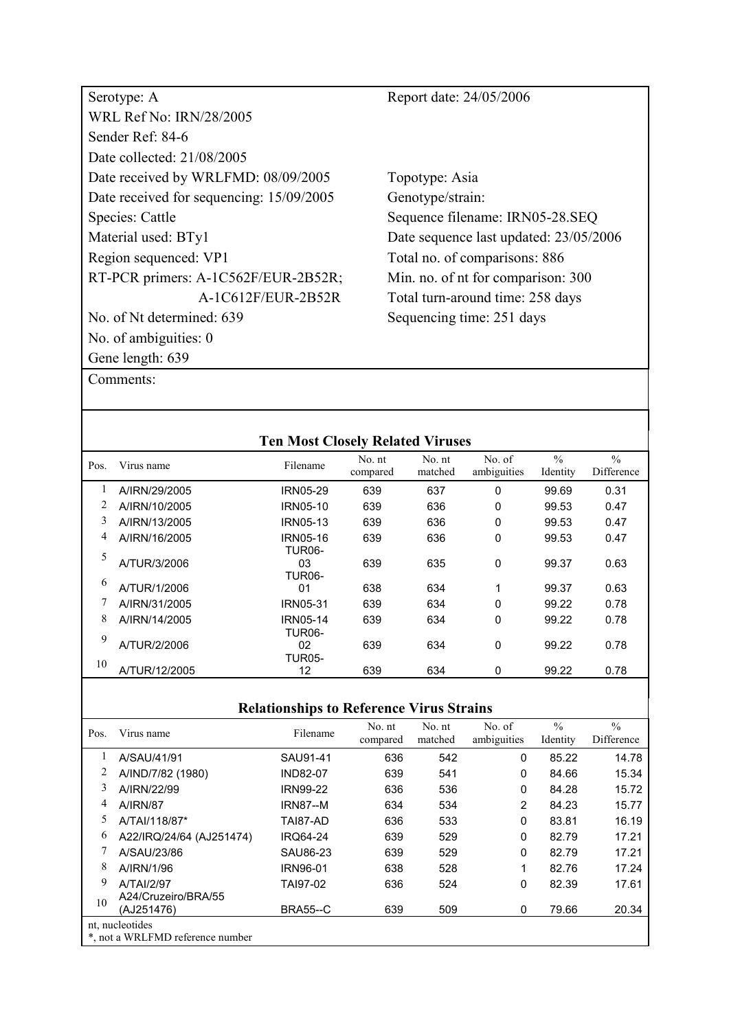| Serotype: A                              | Report date: 24/05/2006                |
|------------------------------------------|----------------------------------------|
| <b>WRL Ref No: IRN/28/2005</b>           |                                        |
| Sender Ref: 84-6                         |                                        |
| Date collected: 21/08/2005               |                                        |
| Date received by WRLFMD: 08/09/2005      | Topotype: Asia                         |
| Date received for sequencing: 15/09/2005 | Genotype/strain:                       |
| Species: Cattle                          | Sequence filename: IRN05-28.SEQ        |
| Material used: BTy1                      | Date sequence last updated: 23/05/2006 |
| Region sequenced: VP1                    | Total no. of comparisons: 886          |
| RT-PCR primers: A-1C562F/EUR-2B52R;      | Min. no. of nt for comparison: 300     |
| A-1C612F/EUR-2B52R                       | Total turn-around time: 258 days       |
| No. of Nt determined: 639                | Sequencing time: 251 days              |
| No. of ambiguities: 0                    |                                        |
| Gene length: 639                         |                                        |

|      |               | <b>Ten Most Closely Related Viruses</b> |                    |                   |                       |                           |                             |
|------|---------------|-----------------------------------------|--------------------|-------------------|-----------------------|---------------------------|-----------------------------|
| Pos. | Virus name    | Filename                                | No. nt<br>compared | No. nt<br>matched | No. of<br>ambiguities | $\frac{0}{0}$<br>Identity | $\frac{0}{0}$<br>Difference |
| 1    | A/IRN/29/2005 | IRN05-29                                | 639                | 637               | 0                     | 99.69                     | 0.31                        |
|      | A/IRN/10/2005 | IRN05-10                                | 639                | 636               | 0                     | 99.53                     | 0.47                        |
| 3    | A/IRN/13/2005 | IRN05-13                                | 639                | 636               | 0                     | 99.53                     | 0.47                        |
| 4    | A/IRN/16/2005 | IRN05-16<br><b>TUR06-</b>               | 639                | 636               | 0                     | 99.53                     | 0.47                        |
| 5    | A/TUR/3/2006  | 03<br><b>TUR06-</b>                     | 639                | 635               | 0                     | 99.37                     | 0.63                        |
| 6    | A/TUR/1/2006  | 0 <sub>1</sub>                          | 638                | 634               | 1                     | 99.37                     | 0.63                        |
|      | A/IRN/31/2005 | <b>IRN05-31</b>                         | 639                | 634               | 0                     | 99.22                     | 0.78                        |
| 8    | A/IRN/14/2005 | IRN05-14<br>TUR06-                      | 639                | 634               | 0                     | 99.22                     | 0.78                        |
| 9    | A/TUR/2/2006  | 02<br><b>TUR05-</b>                     | 639                | 634               | 0                     | 99.22                     | 0.78                        |
| 10   | A/TUR/12/2005 | 12                                      | 639                | 634               | 0                     | 99.22                     | 0.78                        |

| Pos. | Virus name                       | Filename        | No. nt<br>compared | No. nt<br>matched | No. of<br>ambiguities | $\frac{0}{0}$<br>Identity | $\frac{0}{0}$<br>Difference |  |  |
|------|----------------------------------|-----------------|--------------------|-------------------|-----------------------|---------------------------|-----------------------------|--|--|
|      | A/SAU/41/91                      | SAU91-41        | 636                | 542               | 0                     | 85.22                     | 14.78                       |  |  |
| 2    | A/IND/7/82 (1980)                | <b>IND82-07</b> | 639                | 541               | 0                     | 84.66                     | 15.34                       |  |  |
| 3    | A/IRN/22/99                      | <b>IRN99-22</b> | 636                | 536               | 0                     | 84.28                     | 15.72                       |  |  |
| 4    | <b>A/IRN/87</b>                  | <b>IRN87--M</b> | 634                | 534               | 2                     | 84.23                     | 15.77                       |  |  |
| 5    | A/TAI/118/87*                    | TAI87-AD        | 636                | 533               | 0                     | 83.81                     | 16.19                       |  |  |
| 6    | A22/IRQ/24/64 (AJ251474)         | <b>IRQ64-24</b> | 639                | 529               | 0                     | 82.79                     | 17.21                       |  |  |
|      | A/SAU/23/86                      | SAU86-23        | 639                | 529               | 0                     | 82.79                     | 17.21                       |  |  |
| 8    | A/IRN/1/96                       | <b>IRN96-01</b> | 638                | 528               | 1                     | 82.76                     | 17.24                       |  |  |
| 9    | <b>A/TAI/2/97</b>                | TAI97-02        | 636                | 524               | 0                     | 82.39                     | 17.61                       |  |  |
| 10   | A24/Cruzeiro/BRA/55              |                 |                    |                   |                       |                           |                             |  |  |
|      | (AJ251476)                       | <b>BRA55--C</b> | 639                | 509               | 0                     | 79.66                     | 20.34                       |  |  |
|      | nt, nucleotides                  |                 |                    |                   |                       |                           |                             |  |  |
|      | *, not a WRLFMD reference number |                 |                    |                   |                       |                           |                             |  |  |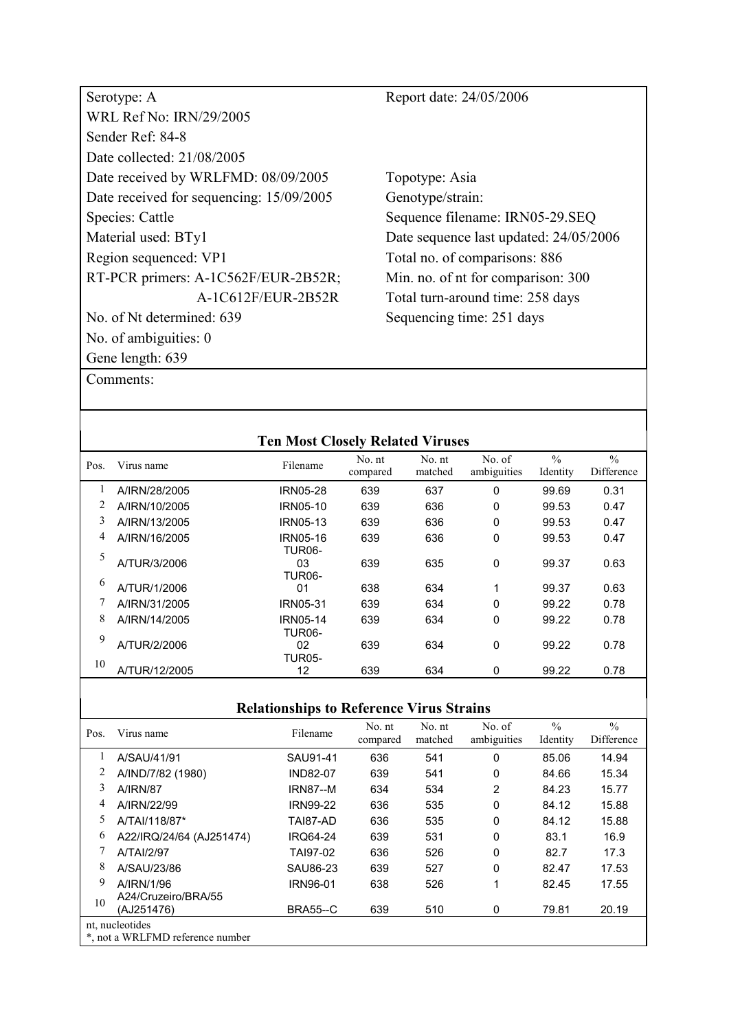| Serotype: A                              | Report date: 24/05/2006                |
|------------------------------------------|----------------------------------------|
| <b>WRL Ref No: IRN/29/2005</b>           |                                        |
| Sender Ref: 84-8                         |                                        |
| Date collected: 21/08/2005               |                                        |
| Date received by WRLFMD: 08/09/2005      | Topotype: Asia                         |
| Date received for sequencing: 15/09/2005 | Genotype/strain:                       |
| Species: Cattle                          | Sequence filename: IRN05-29.SEQ        |
| Material used: BTy1                      | Date sequence last updated: 24/05/2006 |
| Region sequenced: VP1                    | Total no. of comparisons: 886          |
| RT-PCR primers: A-1C562F/EUR-2B52R;      | Min. no. of nt for comparison: 300     |
| A-1C612F/EUR-2B52R                       | Total turn-around time: 258 days       |
| No. of Nt determined: 639                | Sequencing time: 251 days              |
| No. of ambiguities: $0$                  |                                        |
| Gene length: 639                         |                                        |

|      |               | <b>Ten Most Closely Related Viruses</b> |                    |                   |                       |                           |                             |
|------|---------------|-----------------------------------------|--------------------|-------------------|-----------------------|---------------------------|-----------------------------|
| Pos. | Virus name    | Filename                                | No. nt<br>compared | No. nt<br>matched | No. of<br>ambiguities | $\frac{0}{0}$<br>Identity | $\frac{0}{0}$<br>Difference |
| 1    | A/IRN/28/2005 | <b>IRN05-28</b>                         | 639                | 637               | 0                     | 99.69                     | 0.31                        |
|      | A/IRN/10/2005 | IRN05-10                                | 639                | 636               | 0                     | 99.53                     | 0.47                        |
| 3    | A/IRN/13/2005 | <b>IRN05-13</b>                         | 639                | 636               | 0                     | 99.53                     | 0.47                        |
| 4    | A/IRN/16/2005 | IRN05-16<br><b>TUR06-</b>               | 639                | 636               | 0                     | 99.53                     | 0.47                        |
| 5    | A/TUR/3/2006  | 03<br>TUR06-                            | 639                | 635               | 0                     | 99.37                     | 0.63                        |
| 6    | A/TUR/1/2006  | 01                                      | 638                | 634               | 1                     | 99.37                     | 0.63                        |
|      | A/IRN/31/2005 | <b>IRN05-31</b>                         | 639                | 634               | 0                     | 99.22                     | 0.78                        |
| 8    | A/IRN/14/2005 | <b>IRN05-14</b><br><b>TUR06-</b>        | 639                | 634               | 0                     | 99.22                     | 0.78                        |
| 9    | A/TUR/2/2006  | 02<br><b>TUR05-</b>                     | 639                | 634               | 0                     | 99.22                     | 0.78                        |
| 10   | A/TUR/12/2005 | 12                                      | 639                | 634               | 0                     | 99.22                     | 0.78                        |

| Pos. | Virus name                                          | Filename        | No. nt<br>compared | No. nt<br>matched | No. of<br>ambiguities | $\frac{0}{0}$<br>Identity | $\frac{0}{0}$<br>Difference |
|------|-----------------------------------------------------|-----------------|--------------------|-------------------|-----------------------|---------------------------|-----------------------------|
|      | A/SAU/41/91                                         | SAU91-41        | 636                | 541               | 0                     | 85.06                     | 14.94                       |
| 2    | A/IND/7/82 (1980)                                   | <b>IND82-07</b> | 639                | 541               | 0                     | 84.66                     | 15.34                       |
| 3    | <b>A/IRN/87</b>                                     | <b>IRN87--M</b> | 634                | 534               | 2                     | 84.23                     | 15.77                       |
| 4    | A/IRN/22/99                                         | <b>IRN99-22</b> | 636                | 535               | 0                     | 84.12                     | 15.88                       |
| 5    | A/TAI/118/87*                                       | TAI87-AD        | 636                | 535               | 0                     | 84.12                     | 15.88                       |
| 6    | A22/IRQ/24/64 (AJ251474)                            | <b>IRO64-24</b> | 639                | 531               | 0                     | 83.1                      | 16.9                        |
|      | A/TAI/2/97                                          | TAI97-02        | 636                | 526               | $\Omega$              | 82.7                      | 17.3                        |
| 8    | A/SAU/23/86                                         | SAU86-23        | 639                | 527               | 0                     | 82.47                     | 17.53                       |
| 9    | A/IRN/1/96                                          | <b>IRN96-01</b> | 638                | 526               | 1                     | 82.45                     | 17.55                       |
| 10   | A24/Cruzeiro/BRA/55<br>(AJ251476)                   | <b>BRA55--C</b> | 639                | 510               | 0                     | 79.81                     | 20.19                       |
|      | nt. nucleotides<br>*, not a WRLFMD reference number |                 |                    |                   |                       |                           |                             |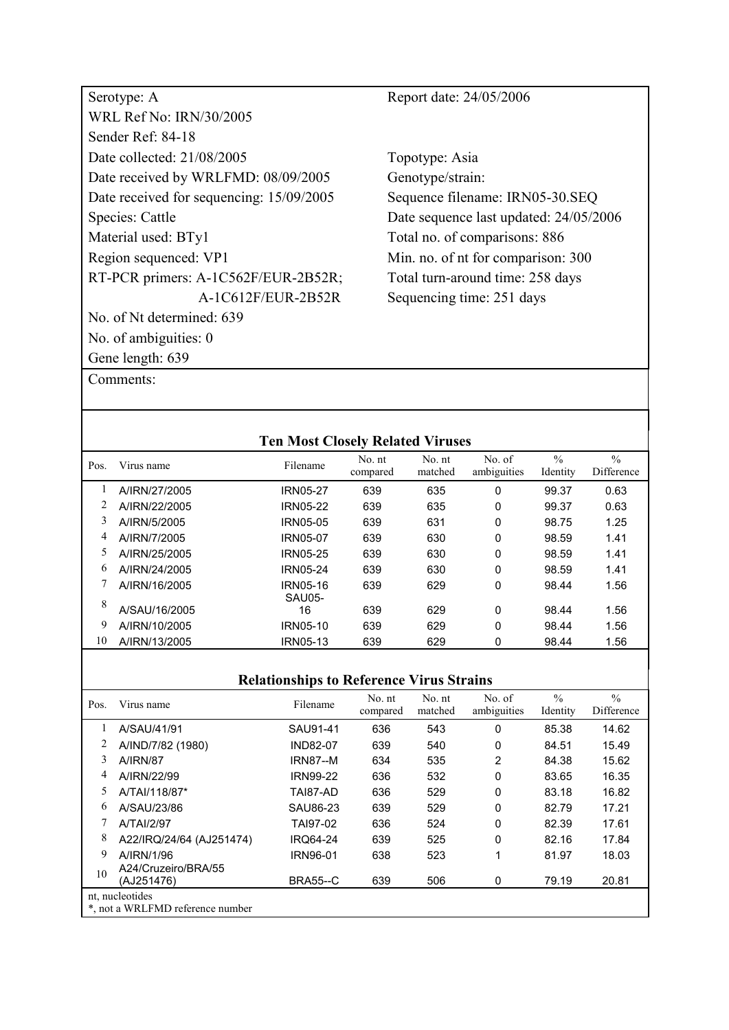| Serotype: A                              |
|------------------------------------------|
| WRL Ref No: IRN/30/2005                  |
| Sender Ref <sup>.</sup> 84-18            |
| Date collected: 21/08/2005               |
| Date received by WRLFMD: 08/09/2005      |
| Date received for sequencing: 15/09/2005 |
| Species: Cattle                          |
| Material used: BTy1                      |
| Region sequenced: VP1                    |
| RT-PCR primers: A-1C562F/EUR-2B52R;      |
| A-1C612F/EUR-2B52R                       |
| No. of Nt determined: 639                |
| No. of ambiguities: 0                    |
| Gene length: 639                         |

Report date: 24/05/2006

Topotype: Asia Genotype/strain: Sequence filename: IRN05-30.SEQ Date sequence last updated: 24/05/2006 Total no. of comparisons: 886 Min. no. of nt for comparison: 300 Total turn-around time: 258 days Sequencing time: 251 days

| <b>Ten Most Closely Related Viruses</b> |               |                           |                    |                   |                       |                           |                             |  |  |
|-----------------------------------------|---------------|---------------------------|--------------------|-------------------|-----------------------|---------------------------|-----------------------------|--|--|
| Pos.                                    | Virus name    | Filename                  | No. nt<br>compared | No. nt<br>matched | No. of<br>ambiguities | $\frac{0}{0}$<br>Identity | $\frac{0}{0}$<br>Difference |  |  |
|                                         | A/IRN/27/2005 | <b>IRN05-27</b>           | 639                | 635               | 0                     | 99.37                     | 0.63                        |  |  |
|                                         | A/IRN/22/2005 | <b>IRN05-22</b>           | 639                | 635               | 0                     | 99.37                     | 0.63                        |  |  |
| 3                                       | A/IRN/5/2005  | IRN05-05                  | 639                | 631               | 0                     | 98.75                     | 1.25                        |  |  |
| 4                                       | A/IRN/7/2005  | <b>IRN05-07</b>           | 639                | 630               | 0                     | 98.59                     | 1.41                        |  |  |
| 5                                       | A/IRN/25/2005 | IRN05-25                  | 639                | 630               | 0                     | 98.59                     | 1.41                        |  |  |
| 6                                       | A/IRN/24/2005 | IRN05-24                  | 639                | 630               | 0                     | 98.59                     | 1.41                        |  |  |
|                                         | A/IRN/16/2005 | <b>IRN05-16</b><br>SAU05- | 639                | 629               | 0                     | 98.44                     | 1.56                        |  |  |
| 8                                       | A/SAU/16/2005 | 16                        | 639                | 629               | 0                     | 98.44                     | 1.56                        |  |  |
| 9                                       | A/IRN/10/2005 | IRN05-10                  | 639                | 629               | 0                     | 98.44                     | 1.56                        |  |  |
| 10                                      | A/IRN/13/2005 | <b>IRN05-13</b>           | 639                | 629               | 0                     | 98.44                     | 1.56                        |  |  |

| Pos. | Virus name                                          | Filename        | No. nt<br>compared | No. nt<br>matched | No. of<br>ambiguities | $\frac{0}{0}$<br>Identity | $\frac{0}{0}$<br>Difference |
|------|-----------------------------------------------------|-----------------|--------------------|-------------------|-----------------------|---------------------------|-----------------------------|
|      | A/SAU/41/91                                         | SAU91-41        | 636                | 543               | 0                     | 85.38                     | 14.62                       |
|      | A/IND/7/82 (1980)                                   | <b>IND82-07</b> | 639                | 540               | 0                     | 84.51                     | 15.49                       |
| 3    | <b>A/IRN/87</b>                                     | <b>IRN87--M</b> | 634                | 535               | 2                     | 84.38                     | 15.62                       |
| 4    | A/IRN/22/99                                         | <b>IRN99-22</b> | 636                | 532               | 0                     | 83.65                     | 16.35                       |
| 5    | A/TAI/118/87*                                       | TAI87-AD        | 636                | 529               | 0                     | 83.18                     | 16.82                       |
| 6    | A/SAU/23/86                                         | SAU86-23        | 639                | 529               | 0                     | 82.79                     | 17.21                       |
|      | A/TAI/2/97                                          | TAI97-02        | 636                | 524               | 0                     | 82.39                     | 17.61                       |
| 8    | A22/IRQ/24/64 (AJ251474)                            | <b>IRQ64-24</b> | 639                | 525               | 0                     | 82.16                     | 17.84                       |
| 9    | A/IRN/1/96                                          | IRN96-01        | 638                | 523               | 1                     | 81.97                     | 18.03                       |
| 10   | A24/Cruzeiro/BRA/55<br>(AJ251476)                   | <b>BRA55--C</b> | 639                | 506               | 0                     | 79.19                     | 20.81                       |
|      | nt, nucleotides<br>*, not a WRLFMD reference number |                 |                    |                   |                       |                           |                             |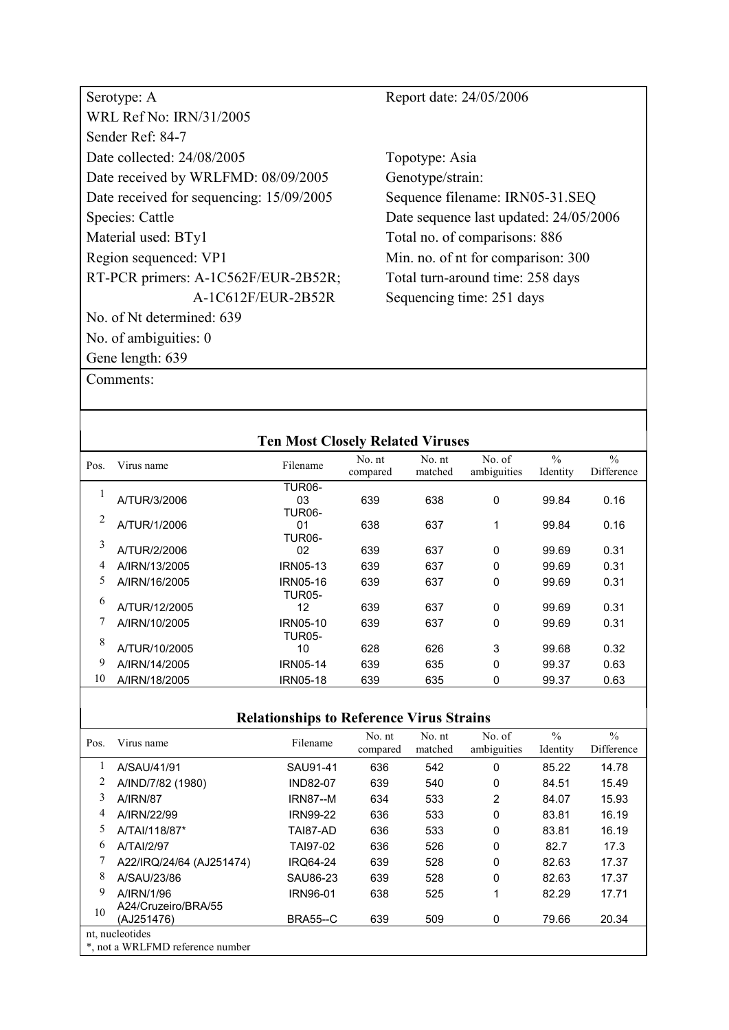| Serotype: A                              | Report date: 24/05/2006                |
|------------------------------------------|----------------------------------------|
| <b>WRL Ref No: IRN/31/2005</b>           |                                        |
| Sender Ref: 84-7                         |                                        |
| Date collected: 24/08/2005               | Topotype: Asia                         |
| Date received by WRLFMD: 08/09/2005      | Genotype/strain:                       |
| Date received for sequencing: 15/09/2005 | Sequence filename: IRN05-31.SEQ        |
| Species: Cattle                          | Date sequence last updated: 24/05/2006 |
| Material used: BTy1                      | Total no. of comparisons: 886          |
| Region sequenced: VP1                    | Min. no. of nt for comparison: 300     |
| RT-PCR primers: A-1C562F/EUR-2B52R;      | Total turn-around time: 258 days       |
| A-1C612F/EUR-2B52R                       | Sequencing time: 251 days              |
| No. of Nt determined: 639                |                                        |
| No. of ambiguities: $0$                  |                                        |
| Gene length: 639                         |                                        |

| <b>Ten Most Closely Related Viruses</b> |               |                                  |                    |                   |                       |                           |                             |  |  |  |
|-----------------------------------------|---------------|----------------------------------|--------------------|-------------------|-----------------------|---------------------------|-----------------------------|--|--|--|
| Pos.                                    | Virus name    | Filename                         | No. nt<br>compared | No. nt<br>matched | No. of<br>ambiguities | $\frac{0}{0}$<br>Identity | $\frac{0}{0}$<br>Difference |  |  |  |
| 1                                       | A/TUR/3/2006  | <b>TUR06-</b><br>03<br>TUR06-    | 639                | 638               | 0                     | 99.84                     | 0.16                        |  |  |  |
| 2                                       | A/TUR/1/2006  | 01<br>TUR <sub>06</sub> -        | 638                | 637               | 1                     | 99.84                     | 0.16                        |  |  |  |
| 3                                       | A/TUR/2/2006  | 02                               | 639                | 637               | $\Omega$              | 99.69                     | 0.31                        |  |  |  |
| 4                                       | A/IRN/13/2005 | <b>IRN05-13</b>                  | 639                | 637               | 0                     | 99.69                     | 0.31                        |  |  |  |
| 5.                                      | A/IRN/16/2005 | IRN05-16<br><b>TUR05-</b>        | 639                | 637               | 0                     | 99.69                     | 0.31                        |  |  |  |
| 6                                       | A/TUR/12/2005 | 12                               | 639                | 637               | $\mathbf{0}$          | 99.69                     | 0.31                        |  |  |  |
|                                         | A/IRN/10/2005 | <b>IRN05-10</b><br><b>TUR05-</b> | 639                | 637               | 0                     | 99.69                     | 0.31                        |  |  |  |
| 8                                       | A/TUR/10/2005 | 10                               | 628                | 626               | 3                     | 99.68                     | 0.32                        |  |  |  |
| 9                                       | A/IRN/14/2005 | <b>IRN05-14</b>                  | 639                | 635               | 0                     | 99.37                     | 0.63                        |  |  |  |
| 10                                      | A/IRN/18/2005 | <b>IRN05-18</b>                  | 639                | 635               | 0                     | 99.37                     | 0.63                        |  |  |  |

| Pos.            | Virus name                       | Filename        | No. nt<br>compared | No. nt<br>matched | No. of<br>ambiguities | $\frac{0}{0}$<br>Identity | $\frac{0}{0}$<br>Difference |
|-----------------|----------------------------------|-----------------|--------------------|-------------------|-----------------------|---------------------------|-----------------------------|
|                 | A/SAU/41/91                      | SAU91-41        | 636                | 542               | 0                     | 85.22                     | 14.78                       |
| 2               | A/IND/7/82 (1980)                | <b>IND82-07</b> | 639                | 540               | 0                     | 84.51                     | 15.49                       |
| 3               | <b>A/IRN/87</b>                  | <b>IRN87--M</b> | 634                | 533               | 2                     | 84.07                     | 15.93                       |
| 4               | A/IRN/22/99                      | <b>IRN99-22</b> | 636                | 533               | $\Omega$              | 83.81                     | 16.19                       |
| 5               | A/TAI/118/87*                    | TAI87-AD        | 636                | 533               | 0                     | 83.81                     | 16.19                       |
| 6               | A/TAI/2/97                       | TAI97-02        | 636                | 526               | $\Omega$              | 82.7                      | 17.3                        |
|                 | A22/IRQ/24/64 (AJ251474)         | <b>IRQ64-24</b> | 639                | 528               | $\Omega$              | 82.63                     | 17.37                       |
| 8               | A/SAU/23/86                      | SAU86-23        | 639                | 528               | $\Omega$              | 82.63                     | 17.37                       |
| 9               | A/IRN/1/96                       | <b>IRN96-01</b> | 638                | 525               |                       | 82.29                     | 17.71                       |
| 10              | A24/Cruzeiro/BRA/55              |                 |                    |                   |                       |                           |                             |
|                 | (AJ251476)                       | <b>BRA55--C</b> | 639                | 509               | 0                     | 79.66                     | 20.34                       |
| nt, nucleotides |                                  |                 |                    |                   |                       |                           |                             |
|                 | *, not a WRLFMD reference number |                 |                    |                   |                       |                           |                             |